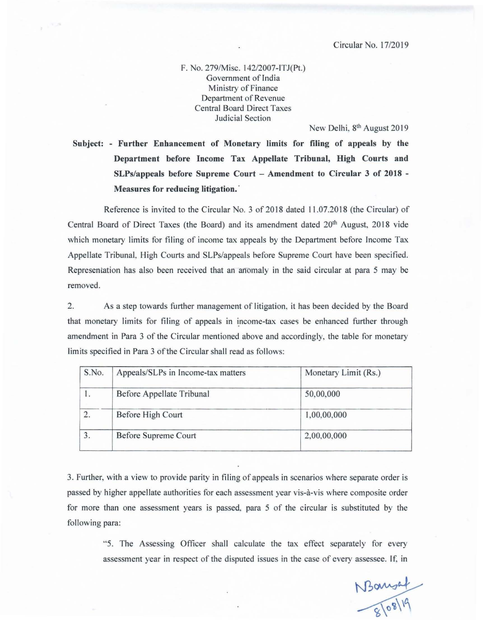F. No. 279/Misc. 142/2007-ITJ(Pt.) Government of India Ministry of Finance Department of Revenue Central Board Direct Taxes Judicial Section

New Delhi, 8<sup>th</sup> August 2019

Subject: - Further Enhancement of Monetary limits for filing of appeals by the Department before Income Tax Appellate Tribunal, High Courts and SLPs/appeals before Supreme Court - Amendment to Circular 3 of 2018 - Measures for reducing litigation.

Reference is invited to the Circular No. 3 of 2018 dated 11.07.2018 (the Circular) of Central Board of Direct Taxes (the Board) and its amendment dated 20<sup>th</sup> August, 2018 vide which monetary limits for filing of income tax appeals by the Department before Income Tax Appellate Tribunal. High Courts and SLPs/appeals hefore Supreme Court have been specified. Representation has also been received that an anomaly in the said circular at para 5 may be removed.

2. As a step towards further management of litigation. it has been decided by the Board that monetary limits for filing of appeals in income-tax cases be enhanced further through amendment in Para 3 of the Circular mentioned above and accordingly, the table for monetary limits specified in Para 3 of the Circular shall read as follows:

| Appeals/SLPs in Income-tax matters | Monetary Limit (Rs.) |
|------------------------------------|----------------------|
| Before Appellate Tribunal          | 50,00,000            |
| Before High Court                  | 1,00,00,000          |
| Before Supreme Court               | 2,00,00,000          |
|                                    |                      |

3. Further, with a view to provide parity in filing of appeals in scenarios where separate order is passed by higher appellate authorities for each assessment year vis-à-vis where composite order for more than one assessment years is passed. para 5 of the circular is substituted by the following para:

> "5. The Assessing Officer shall calculate the tax effect separately for every assessment year in respect of the disputed issues in the case of every assessee. If, in

 $N30114$